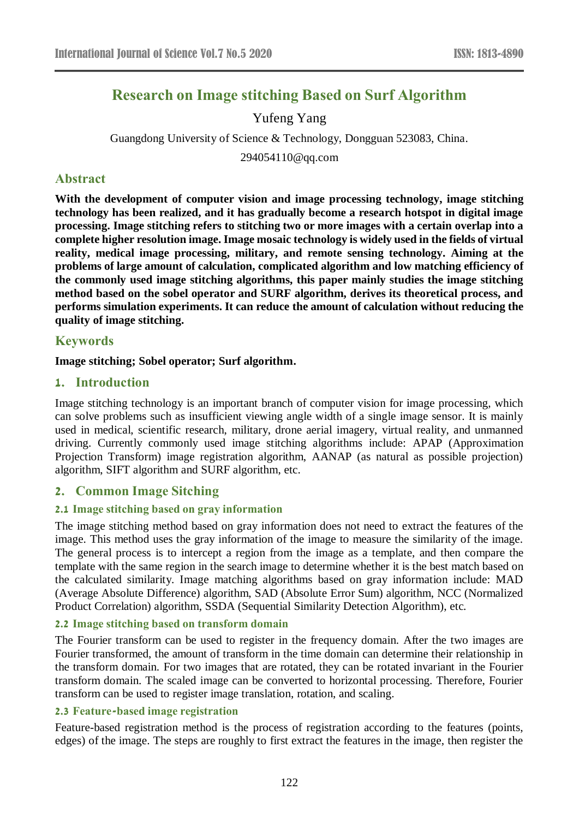# **Research on Image stitching Based on Surf Algorithm**

## Yufeng Yang

Guangdong University of Science & Technology, Dongguan 523083, China.

294054110@qq.com

## **Abstract**

**With the development of computer vision and image processing technology, image stitching technology has been realized, and it has gradually become a research hotspot in digital image processing. Image stitching refers to stitching two or more images with a certain overlap into a complete higher resolution image. Image mosaic technology is widely used in the fields of virtual reality, medical image processing, military, and remote sensing technology. Aiming at the problems of large amount of calculation, complicated algorithm and low matching efficiency of the commonly used image stitching algorithms, this paper mainly studies the image stitching method based on the sobel operator and SURF algorithm, derives its theoretical process, and performs simulation experiments. It can reduce the amount of calculation without reducing the quality of image stitching.**

## **Keywords**

#### **Image stitching; Sobel operator; Surf algorithm.**

### **1. Introduction**

Image stitching technology is an important branch of computer vision for image processing, which can solve problems such as insufficient viewing angle width of a single image sensor. It is mainly used in medical, scientific research, military, drone aerial imagery, virtual reality, and unmanned driving. Currently commonly used image stitching algorithms include: APAP (Approximation Projection Transform) image registration algorithm, AANAP (as natural as possible projection) algorithm, SIFT algorithm and SURF algorithm, etc.

## **2. Common Image Sitching**

#### **2.1 Image stitching based on gray information**

The image stitching method based on gray information does not need to extract the features of the image. This method uses the gray information of the image to measure the similarity of the image. The general process is to intercept a region from the image as a template, and then compare the template with the same region in the search image to determine whether it is the best match based on the calculated similarity. Image matching algorithms based on gray information include: MAD (Average Absolute Difference) algorithm, SAD (Absolute Error Sum) algorithm, NCC (Normalized Product Correlation) algorithm, SSDA (Sequential Similarity Detection Algorithm), etc.

#### **2.2 Image stitching based on transform domain**

The Fourier transform can be used to register in the frequency domain. After the two images are Fourier transformed, the amount of transform in the time domain can determine their relationship in the transform domain. For two images that are rotated, they can be rotated invariant in the Fourier transform domain. The scaled image can be converted to horizontal processing. Therefore, Fourier transform can be used to register image translation, rotation, and scaling.

#### **2.3 Feature-based image registration**

Feature-based registration method is the process of registration according to the features (points, edges) of the image. The steps are roughly to first extract the features in the image, then register the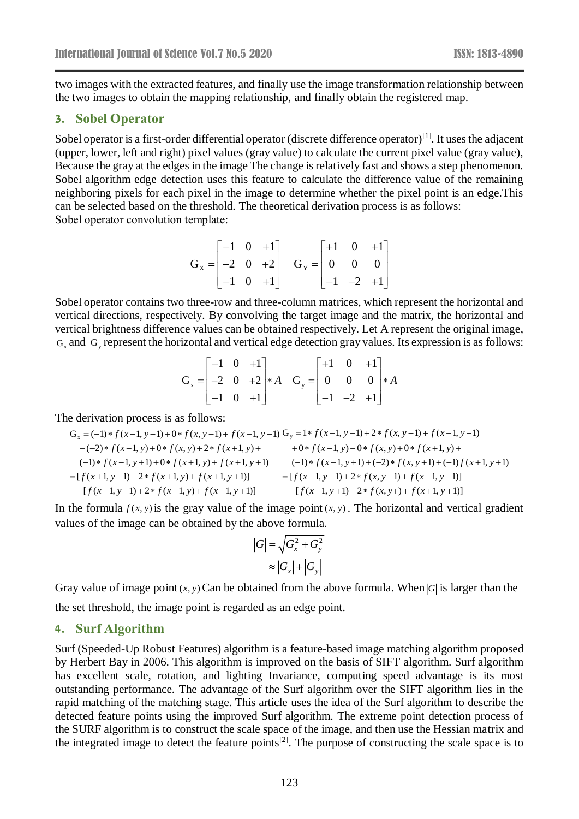two images with the extracted features, and finally use the image transformation relationship between the two images to obtain the mapping relationship, and finally obtain the registered map.

#### **3. Sobel Operator**

Sobel operator is a first-order differential operator (discrete difference operator)<sup>[1]</sup>. It uses the adjacent (upper, lower, left and right) pixel values (gray value) to calculate the current pixel value (gray value), Because the gray at the edges in the image The change is relatively fast and shows a step phenomenon. Sobel algorithm edge detection uses this feature to calculate the difference value of the remaining neighboring pixels for each pixel in the image to determine whether the pixel point is an edge.This can be selected based on the threshold. The theoretical derivation process is as follows: Sobel operator convolution template:

$$
\mathbf{G}_{\mathbf{x}} = \begin{bmatrix} -1 & 0 & +1 \\ -2 & 0 & +2 \\ -1 & 0 & +1 \end{bmatrix} \quad \mathbf{G}_{\mathbf{y}} = \begin{bmatrix} +1 & 0 & +1 \\ 0 & 0 & 0 \\ -1 & -2 & +1 \end{bmatrix}
$$

Sobel operator contains two three-row and three-column matrices, which represent the horizontal and vertical directions, respectively. By convolving the target image and the matrix, the horizontal and vertical brightness difference values can be obtained respectively. Let A represent the original image,  $G_x$  and  $G_y$  represent the horizontal and vertical edge detection gray values. Its expression is as follows:

$$
\mathbf{G}_{x} = \begin{bmatrix} -1 & 0 & +1 \\ -2 & 0 & +2 \\ -1 & 0 & +1 \end{bmatrix} * A \quad \mathbf{G}_{y} = \begin{bmatrix} +1 & 0 & +1 \\ 0 & 0 & 0 \\ -1 & -2 & +1 \end{bmatrix} * A
$$

The derivation process is as follows:  
\n
$$
G_x = (-1) * f(x-1, y-1) + 0 * f(x, y-1) + f(x+1, y-1) G_y = 1 * f(x-1, y-1) + 2 * f(x, y-1) + f(x+1, y-1) + (-2) * f(x-1, y) + 0 * f(x, y) + 2 * f(x+1, y) + (-1) * f(x-1, y+1) + 0 * f(x+1, y+1) - (-1) * f(x-1, y+1) + (-2) * f(x, y+1) + (-1) f(x+1, y+1) = [f(x+1, y-1) + 2 * f(x+1, y) + f(x+1, y+1)] = [f(x-1, y-1) + 2 * f(x, y-1) + f(x+1, y-1)] - [f(x-1, y-1) + 2 * f(x, y+1) + f(x+1, y+1)] = -[f(x-1, y+1) + 2 * f(x, y+1) + f(x+1, y+1)]
$$

In the formula  $f(x, y)$  is the gray value of the image point  $(x, y)$ . The horizontal and vertical gradient values of the image can be obtained by the above formula.

$$
|G| = \sqrt{G_x^2 + G_y^2}
$$

$$
\approx |G_x| + |G_y|
$$

Gray value of image point  $(x, y)$  Can be obtained from the above formula. When  $|G|$  is larger than the the set threshold, the image point is regarded as an edge point.

#### **4. Surf Algorithm**

Surf (Speeded-Up Robust Features) algorithm is a feature-based image matching algorithm proposed by Herbert Bay in 2006. This algorithm is improved on the basis of SIFT algorithm. Surf algorithm has excellent scale, rotation, and lighting Invariance, computing speed advantage is its most outstanding performance. The advantage of the Surf algorithm over the SIFT algorithm lies in the rapid matching of the matching stage. This article uses the idea of the Surf algorithm to describe the detected feature points using the improved Surf algorithm. The extreme point detection process of the SURF algorithm is to construct the scale space of the image, and then use the Hessian matrix and the integrated image to detect the feature points<sup>[2]</sup>. The purpose of constructing the scale space is to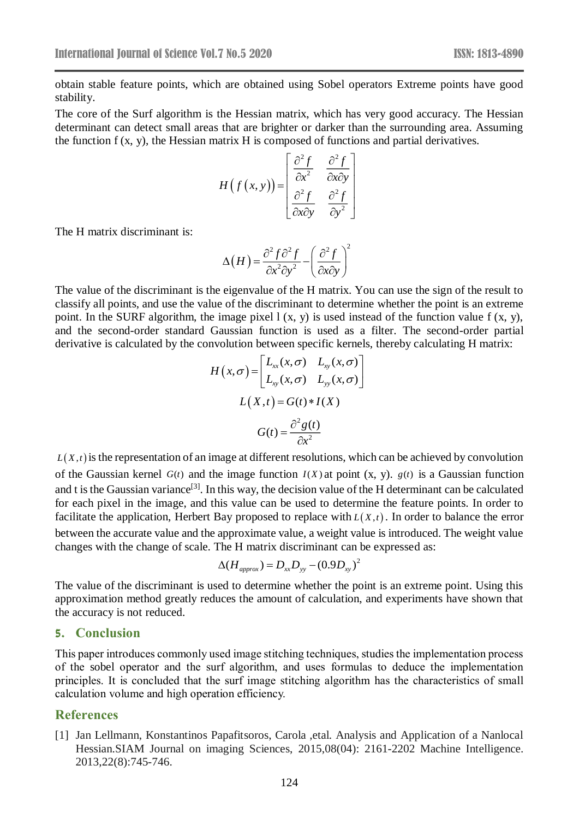obtain stable feature points, which are obtained using Sobel operators Extreme points have good stability.

The core of the Surf algorithm is the Hessian matrix, which has very good accuracy. The Hessian determinant can detect small areas that are brighter or darker than the surrounding area. Assuming the function f (x, y), the Hessian matrix H is composed of functions and partial derivatives.

$$
H(f(x, y)) = \begin{bmatrix} \frac{\partial^2 f}{\partial x^2} & \frac{\partial^2 f}{\partial x \partial y} \\ \frac{\partial^2 f}{\partial x \partial y} & \frac{\partial^2 f}{\partial y^2} \end{bmatrix}
$$

The H matrix discriminant is:

$$
\Delta(H) = \frac{\partial^2 f \partial^2 f}{\partial x^2 \partial y^2} - \left(\frac{\partial^2 f}{\partial x \partial y}\right)^2
$$

The value of the discriminant is the eigenvalue of the H matrix. You can use the sign of the result to classify all points, and use the value of the discriminant to determine whether the point is an extreme point. In the SURF algorithm, the image pixel  $l(x, y)$  is used instead of the function value  $f(x, y)$ , and the second-order standard Gaussian function is used as a filter. The second-order partial derivative is calculated by the convolution between specific kernels, thereby calculating H matrix:

$$
H(x, \sigma) = \begin{bmatrix} L_{xx}(x, \sigma) & L_{xy}(x, \sigma) \\ L_{xy}(x, \sigma) & L_{yy}(x, \sigma) \end{bmatrix}
$$

$$
L(X, t) = G(t) * I(X)
$$

$$
G(t) = \frac{\partial^2 g(t)}{\partial x^2}
$$

 $L(X,t)$  is the representation of an image at different resolutions, which can be achieved by convolution of the Gaussian kernel  $G(t)$  and the image function  $I(X)$  at point  $(X, y)$ .  $g(t)$  is a Gaussian function and t is the Gaussian variance<sup>[3]</sup>. In this way, the decision value of the H determinant can be calculated for each pixel in the image, and this value can be used to determine the feature points. In order to facilitate the application, Herbert Bay proposed to replace with  $L(X,t)$ . In order to balance the error between the accurate value and the approximate value, a weight value is introduced. The weight value changes with the change of scale. The H matrix discriminant can be expressed as:

$$
\Delta(H_{approx})=D_{xx}D_{yy}-(0.9D_{xy})^2
$$

The value of the discriminant is used to determine whether the point is an extreme point. Using this approximation method greatly reduces the amount of calculation, and experiments have shown that the accuracy is not reduced.

#### **5. Conclusion**

This paper introduces commonly used image stitching techniques, studies the implementation process of the sobel operator and the surf algorithm, and uses formulas to deduce the implementation principles. It is concluded that the surf image stitching algorithm has the characteristics of small calculation volume and high operation efficiency.

#### **References**

[1] Jan Lellmann, Konstantinos Papafitsoros, Carola ,etal. Analysis and Application of a Nanlocal Hessian.SIAM Journal on imaging Sciences, 2015,08(04): 2161-2202 Machine Intelligence. 2013,22(8):745-746.